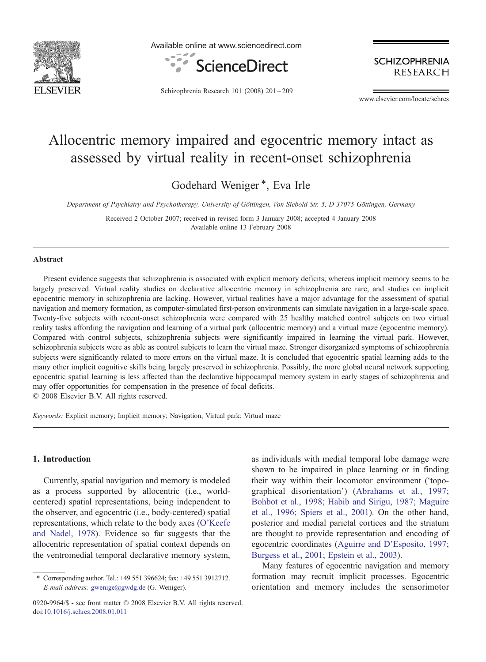

Available online at www.sciencedirect.com



**SCHIZOPHRENIA RESEARCH** 

Schizophrenia Research 101 (2008) 201–209

www.elsevier.com/locate/schres

## Allocentric memory impaired and egocentric memory intact as assessed by virtual reality in recent-onset schizophrenia

Godehard Weniger<sup>\*</sup>, Eva Irle

Department of Psychiatry and Psychotherapy, University of Göttingen, Von-Siebold-Str. 5, D-37075 Göttingen, Germany

Received 2 October 2007; received in revised form 3 January 2008; accepted 4 January 2008 Available online 13 February 2008

#### Abstract

Present evidence suggests that schizophrenia is associated with explicit memory deficits, whereas implicit memory seems to be largely preserved. Virtual reality studies on declarative allocentric memory in schizophrenia are rare, and studies on implicit egocentric memory in schizophrenia are lacking. However, virtual realities have a major advantage for the assessment of spatial navigation and memory formation, as computer-simulated first-person environments can simulate navigation in a large-scale space. Twenty-five subjects with recent-onset schizophrenia were compared with 25 healthy matched control subjects on two virtual reality tasks affording the navigation and learning of a virtual park (allocentric memory) and a virtual maze (egocentric memory). Compared with control subjects, schizophrenia subjects were significantly impaired in learning the virtual park. However, schizophrenia subjects were as able as control subjects to learn the virtual maze. Stronger disorganized symptoms of schizophrenia subjects were significantly related to more errors on the virtual maze. It is concluded that egocentric spatial learning adds to the many other implicit cognitive skills being largely preserved in schizophrenia. Possibly, the more global neural network supporting egocentric spatial learning is less affected than the declarative hippocampal memory system in early stages of schizophrenia and may offer opportunities for compensation in the presence of focal deficits.

© 2008 Elsevier B.V. All rights reserved.

Keywords: Explicit memory; Implicit memory; Navigation; Virtual park; Virtual maze

#### 1. Introduction

Currently, spatial navigation and memory is modeled as a process supported by allocentric (i.e., worldcentered) spatial representations, being independent to the observer, and egocentric (i.e., body-centered) spatial representations, which relate to the body axes [\(O'Keefe](#page--1-0) [and Nadel, 1978\)](#page--1-0). Evidence so far suggests that the allocentric representation of spatial context depends on the ventromedial temporal declarative memory system, as individuals with medial temporal lobe damage were shown to be impaired in place learning or in finding their way within their locomotor environment ('topographical disorientation') ([Abrahams et al., 1997;](#page--1-0) [Bohbot et al., 1998; Habib and Sirigu, 1987; Maguire](#page--1-0) [et al., 1996; Spiers et al., 2001\)](#page--1-0). On the other hand, posterior and medial parietal cortices and the striatum are thought to provide representation and encoding of egocentric coordinates [\(Aguirre and D'Esposito, 1997;](#page--1-0) [Burgess et al., 2001; Epstein et al., 2003](#page--1-0)).

Many features of egocentric navigation and memory formation may recruit implicit processes. Egocentric orientation and memory includes the sensorimotor

<sup>⁎</sup> Corresponding author. Tel.: +49 551 396624; fax: +49 551 3912712. E-mail address: [gwenige@gwdg.de](mailto:gwenige@gwdg.de) (G. Weniger).

<sup>0920-9964/\$ -</sup> see front matter © 2008 Elsevier B.V. All rights reserved. doi[:10.1016/j.schres.2008.01.011](http://dx.doi.org/10.1016/j.schres.2008.01.011)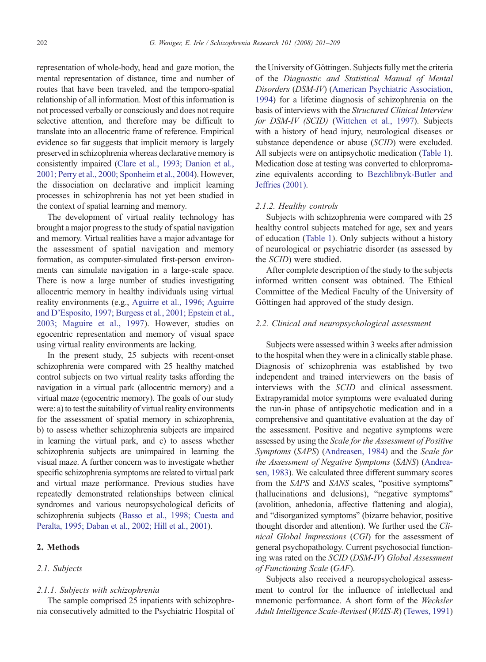representation of whole-body, head and gaze motion, the mental representation of distance, time and number of routes that have been traveled, and the temporo-spatial relationship of all information. Most of this information is not processed verbally or consciously and does not require selective attention, and therefore may be difficult to translate into an allocentric frame of reference. Empirical evidence so far suggests that implicit memory is largely preserved in schizophrenia whereas declarative memory is consistently impaired ([Clare et al., 1993; Danion et al.,](#page--1-0) [2001; Perry et al., 2000; Sponheim et al., 2004](#page--1-0)). However, the dissociation on declarative and implicit learning processes in schizophrenia has not yet been studied in the context of spatial learning and memory.

The development of virtual reality technology has brought a major progress to the study of spatial navigation and memory. Virtual realities have a major advantage for the assessment of spatial navigation and memory formation, as computer-simulated first-person environments can simulate navigation in a large-scale space. There is now a large number of studies investigating allocentric memory in healthy individuals using virtual reality environments (e.g., [Aguirre et al., 1996; Aguirre](#page--1-0) [and D'Esposito, 1997; Burgess et al., 2001; Epstein et al.,](#page--1-0) [2003; Maguire et al., 1997\)](#page--1-0). However, studies on egocentric representation and memory of visual space using virtual reality environments are lacking.

In the present study, 25 subjects with recent-onset schizophrenia were compared with 25 healthy matched control subjects on two virtual reality tasks affording the navigation in a virtual park (allocentric memory) and a virtual maze (egocentric memory). The goals of our study were: a) to test the suitability of virtual reality environments for the assessment of spatial memory in schizophrenia, b) to assess whether schizophrenia subjects are impaired in learning the virtual park, and c) to assess whether schizophrenia subjects are unimpaired in learning the visual maze. A further concern was to investigate whether specific schizophrenia symptoms are related to virtual park and virtual maze performance. Previous studies have repeatedly demonstrated relationships between clinical syndromes and various neuropsychological deficits of schizophrenia subjects ([Basso et al., 1998; Cuesta and](#page--1-0) [Peralta, 1995; Daban et al., 2002; Hill et al., 2001\)](#page--1-0).

## 2. Methods

#### 2.1. Subjects

### 2.1.1. Subjects with schizophrenia

The sample comprised 25 inpatients with schizophrenia consecutively admitted to the Psychiatric Hospital of

the University of Göttingen. Subjects fully met the criteria of the Diagnostic and Statistical Manual of Mental Disorders (DSM-IV) [\(American Psychiatric Association,](#page--1-0) [1994\)](#page--1-0) for a lifetime diagnosis of schizophrenia on the basis of interviews with the Structured Clinical Interview for DSM-IV (SCID) ([Wittchen et al., 1997](#page--1-0)). Subjects with a history of head injury, neurological diseases or substance dependence or abuse (SCID) were excluded. All subjects were on antipsychotic medication ([Table 1\)](#page--1-0). Medication dose at testing was converted to chlorpromazine equivalents according to [Bezchlibnyk-Butler and](#page--1-0) [Jeffries \(2001\).](#page--1-0)

### 2.1.2. Healthy controls

Subjects with schizophrenia were compared with 25 healthy control subjects matched for age, sex and years of education [\(Table 1](#page--1-0)). Only subjects without a history of neurological or psychiatric disorder (as assessed by the SCID) were studied.

After complete description of the study to the subjects informed written consent was obtained. The Ethical Committee of the Medical Faculty of the University of Göttingen had approved of the study design.

### 2.2. Clinical and neuropsychological assessment

Subjects were assessed within 3 weeks after admission to the hospital when they were in a clinically stable phase. Diagnosis of schizophrenia was established by two independent and trained interviewers on the basis of interviews with the SCID and clinical assessment. Extrapyramidal motor symptoms were evaluated during the run-in phase of antipsychotic medication and in a comprehensive and quantitative evaluation at the day of the assessment. Positive and negative symptoms were assessed by using the Scale for the Assessment of Positive Symptoms (SAPS) [\(Andreasen, 1984](#page--1-0)) and the Scale for the Assessment of Negative Symptoms (SANS) ([Andrea](#page--1-0)[sen, 1983\)](#page--1-0). We calculated three different summary scores from the SAPS and SANS scales, "positive symptoms" (hallucinations and delusions), "negative symptoms" (avolition, anhedonia, affective flattening and alogia), and "disorganized symptoms" (bizarre behavior, positive thought disorder and attention). We further used the Clinical Global Impressions (CGI) for the assessment of general psychopathology. Current psychosocial functioning was rated on the SCID (DSM-IV) Global Assessment of Functioning Scale (GAF).

Subjects also received a neuropsychological assessment to control for the influence of intellectual and mnemonic performance. A short form of the Wechsler Adult Intelligence Scale-Revised (WAIS-R) [\(Tewes, 1991](#page--1-0))